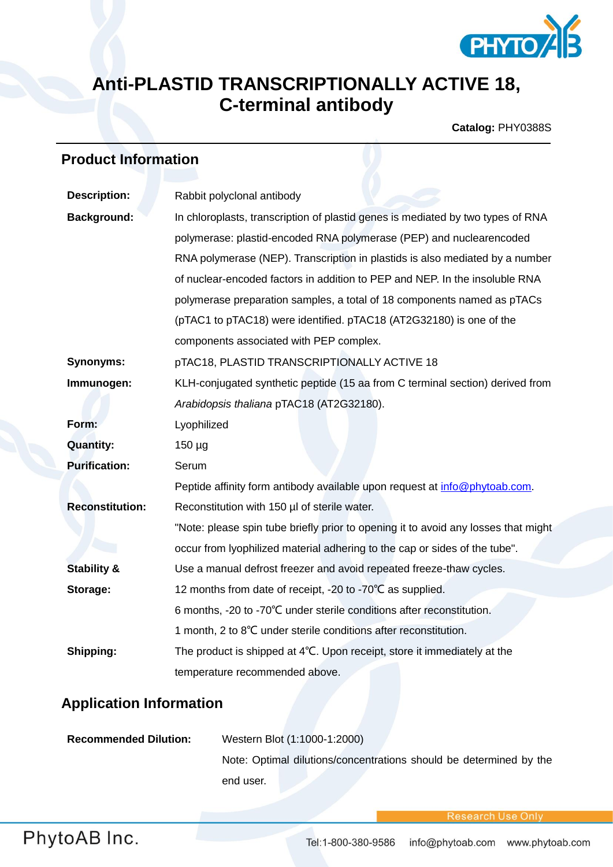

## **Anti-PLASTID TRANSCRIPTIONALLY ACTIVE 18, C-terminal antibody**

**Catalog:** PHY0388S

## **Product Information**

| <b>Description:</b>    | Rabbit polyclonal antibody                                                         |
|------------------------|------------------------------------------------------------------------------------|
| <b>Background:</b>     | In chloroplasts, transcription of plastid genes is mediated by two types of RNA    |
|                        | polymerase: plastid-encoded RNA polymerase (PEP) and nuclearencoded                |
|                        | RNA polymerase (NEP). Transcription in plastids is also mediated by a number       |
|                        | of nuclear-encoded factors in addition to PEP and NEP. In the insoluble RNA        |
|                        | polymerase preparation samples, a total of 18 components named as pTACs            |
|                        | (pTAC1 to pTAC18) were identified. pTAC18 (AT2G32180) is one of the                |
|                        | components associated with PEP complex.                                            |
| <b>Synonyms:</b>       | pTAC18, PLASTID TRANSCRIPTIONALLY ACTIVE 18                                        |
| Immunogen:             | KLH-conjugated synthetic peptide (15 aa from C terminal section) derived from      |
|                        | Arabidopsis thaliana pTAC18 (AT2G32180).                                           |
| Form:                  | Lyophilized                                                                        |
| <b>Quantity:</b>       | $150 \mu g$                                                                        |
| <b>Purification:</b>   | Serum                                                                              |
|                        | Peptide affinity form antibody available upon request at info@phytoab.com.         |
| <b>Reconstitution:</b> | Reconstitution with 150 µl of sterile water.                                       |
|                        | "Note: please spin tube briefly prior to opening it to avoid any losses that might |
|                        | occur from lyophilized material adhering to the cap or sides of the tube".         |
| <b>Stability &amp;</b> | Use a manual defrost freezer and avoid repeated freeze-thaw cycles.                |
| Storage:               | 12 months from date of receipt, -20 to -70°C as supplied.                          |
|                        | 6 months, -20 to -70°C under sterile conditions after reconstitution.              |
|                        | 1 month, 2 to 8°C under sterile conditions after reconstitution.                   |
| Shipping:              | The product is shipped at 4°C. Upon receipt, store it immediately at the           |
|                        | temperature recommended above.                                                     |

## **Application Information**

| <b>Recommended Dilution:</b> | Western Blot (1:1000-1:2000)                                       |
|------------------------------|--------------------------------------------------------------------|
|                              | Note: Optimal dilutions/concentrations should be determined by the |
|                              | end user.                                                          |

**Research Use Onl**